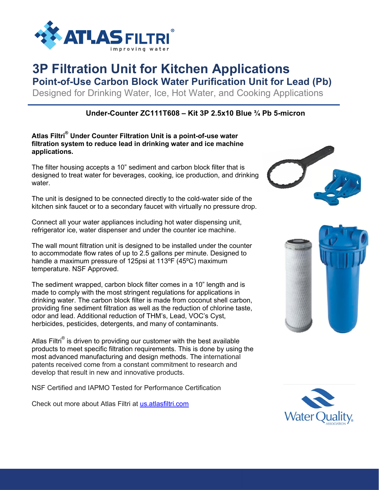

# **3P Filtration Unit for Kitchen Applications**

**Point-of-Use Carbon Block Water Purification Unit for Lead (Pb)**

Designed for Drinking Water, Ice, Hot Water, and Cooking Applications

### **Under-Counter ZC111T608 – Kit 3P 2.5x10 Blue ¾ Pb 5-micron**

#### **Atlas Filtri® Under Counter Filtration Unit is a point-of-use water filtration system to reduce lead in drinking water and ice machine applications.**

The filter housing accepts a 10" sediment and carbon block filter that is designed to treat water for beverages, cooking, ice production, and drinking water.

The unit is designed to be connected directly to the cold-water side of the kitchen sink faucet or to a secondary faucet with virtually no pressure drop.

Connect all your water appliances including hot water dispensing unit, refrigerator ice, water dispenser and under the counter ice machine.

The wall mount filtration unit is designed to be installed under the counter to accommodate flow rates of up to 2.5 gallons per minute. Designed to handle a maximum pressure of 125psi at 113ºF (45ºC) maximum temperature. NSF Approved.

The sediment wrapped, carbon block filter comes in a 10" length and is made to comply with the most stringent regulations for applications in drinking water. The carbon block filter is made from coconut shell carbon, providing fine sediment filtration as well as the reduction of chlorine taste, odor and lead. Additional reduction of THM's, Lead, VOC's Cyst, herbicides, pesticides, detergents, and many of contaminants.

Atlas Filtri<sup>®</sup> is driven to providing our customer with the best available Adas Filth is driven to providing our customer with the best available<br>products to meet specific filtration requirements. This is done by using the most advanced manufacturing and design methods. The international patents received come from a constant commitment to research and develop that result in new and innovative products.

NSF Certified and IAPMO Tested for Performance Certification

Check out more about Atlas Filtri at us.atlasfiltri.com